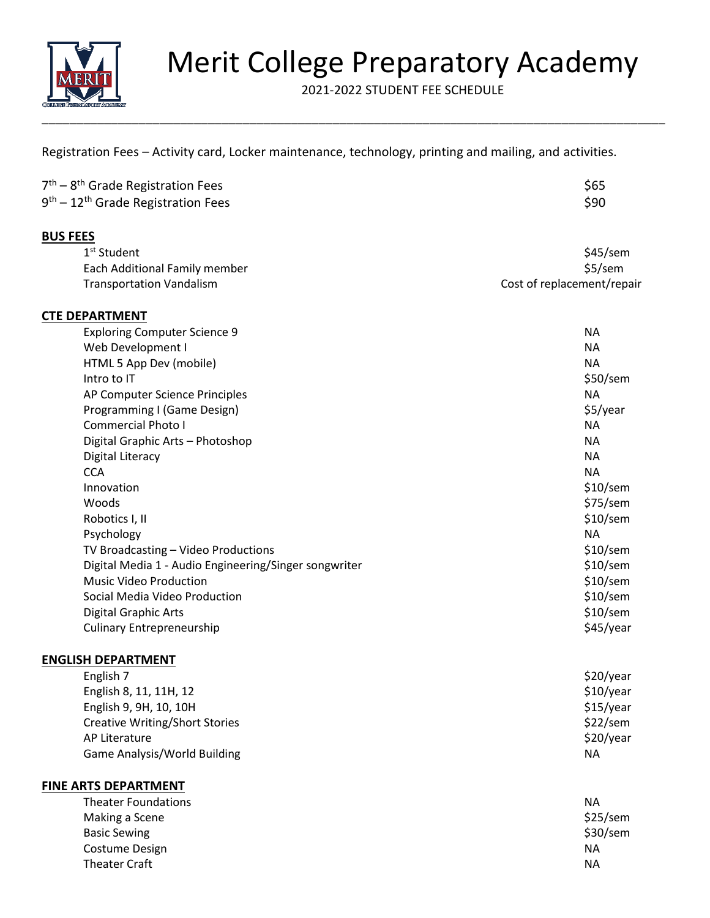

# Merit College Preparatory Academy

2021-2022 STUDENT FEE SCHEDULE

Registration Fees – Activity card, Locker maintenance, technology, printing and mailing, and activities.

| 7 <sup>th</sup> – 8 <sup>th</sup> Grade Registration Fees  | \$65 |
|------------------------------------------------------------|------|
| 9 <sup>th</sup> – 12 <sup>th</sup> Grade Registration Fees | \$90 |

# **BUS FEES**

| 1 <sup>st</sup> Student         | \$45/sem                   |
|---------------------------------|----------------------------|
| Each Additional Family member   | \$5/sem                    |
| <b>Transportation Vandalism</b> | Cost of replacement/repair |

# **CTE DEPARTMENT**

| <b>Exploring Computer Science 9</b>                   | <b>NA</b>  |
|-------------------------------------------------------|------------|
| Web Development I                                     | <b>NA</b>  |
| HTML 5 App Dev (mobile)                               | <b>NA</b>  |
| Intro to IT                                           | $$50$ /sem |
| AP Computer Science Principles                        | <b>NA</b>  |
| Programming I (Game Design)                           | \$5/year   |
| <b>Commercial Photo I</b>                             | <b>NA</b>  |
| Digital Graphic Arts - Photoshop                      | <b>NA</b>  |
| Digital Literacy                                      | <b>NA</b>  |
| <b>CCA</b>                                            | <b>NA</b>  |
| Innovation                                            | $$10$ /sem |
| Woods                                                 | $$75$ /sem |
| Robotics I, II                                        | $$10$ /sem |
| Psychology                                            | <b>NA</b>  |
| TV Broadcasting - Video Productions                   | $$10$ /sem |
| Digital Media 1 - Audio Engineering/Singer songwriter | $$10$ /sem |
| <b>Music Video Production</b>                         | $$10$ /sem |
| Social Media Video Production                         | $$10$ /sem |
| Digital Graphic Arts                                  | $$10$ /sem |
| <b>Culinary Entrepreneurship</b>                      | \$45/year  |

#### **ENGLISH DEPARTMENT**

| English 7                             | \$20/year  |
|---------------------------------------|------------|
| English 8, 11, 11H, 12                | \$10/year  |
| English 9, 9H, 10, 10H                | \$15/year  |
| <b>Creative Writing/Short Stories</b> | $$22$ /sem |
| AP Literature                         | \$20/year  |
| Game Analysis/World Building          | NА         |

# **FINE ARTS DEPARTMENT**

| <b>Theater Foundations</b> | ΝA        |
|----------------------------|-----------|
| Making a Scene             | \$25/sem  |
| <b>Basic Sewing</b>        | \$30/sem  |
| Costume Design             | ΝA        |
| Theater Craft              | <b>NA</b> |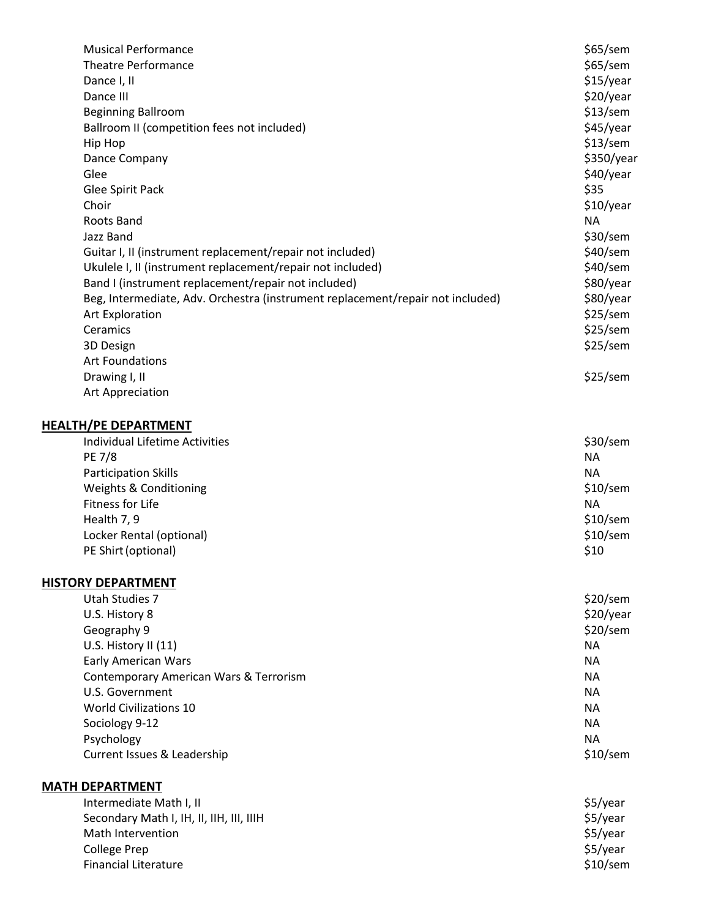| <b>Musical Performance</b>                                                     | $$65$ /sem         |
|--------------------------------------------------------------------------------|--------------------|
| <b>Theatre Performance</b>                                                     | \$65/sem           |
| Dance I, II                                                                    | \$15/year          |
| Dance III                                                                      | \$20/year          |
| <b>Beginning Ballroom</b>                                                      | $$13$ /sem         |
| Ballroom II (competition fees not included)                                    | \$45/year          |
| Hip Hop                                                                        | $$13$ /sem         |
| Dance Company                                                                  | \$350/year         |
| Glee                                                                           | \$40/year          |
| Glee Spirit Pack                                                               | \$35               |
| Choir                                                                          | \$10/year          |
| Roots Band                                                                     | <b>NA</b>          |
| Jazz Band                                                                      | \$30/sem           |
| Guitar I, II (instrument replacement/repair not included)                      | $$40$ /sem         |
| Ukulele I, II (instrument replacement/repair not included)                     | \$40/sem           |
| Band I (instrument replacement/repair not included)                            | \$80/year          |
| Beg, Intermediate, Adv. Orchestra (instrument replacement/repair not included) | \$80/year          |
| <b>Art Exploration</b>                                                         | \$25/sem           |
| Ceramics                                                                       |                    |
|                                                                                | \$25/sem           |
| 3D Design                                                                      | \$25/sem           |
| <b>Art Foundations</b>                                                         |                    |
| Drawing I, II                                                                  | \$25/sem           |
| Art Appreciation                                                               |                    |
| <b>HEALTH/PE DEPARTMENT</b>                                                    |                    |
| Individual Lifetime Activities                                                 |                    |
|                                                                                | $$30$ /sem         |
| <b>PE 7/8</b>                                                                  | <b>NA</b>          |
| <b>Participation Skills</b>                                                    | <b>NA</b>          |
| Weights & Conditioning                                                         | \$10/sem           |
| Fitness for Life                                                               | <b>NA</b>          |
| Health 7, 9                                                                    | $$10$ /sem         |
| Locker Rental (optional)<br>PE Shirt (optional)                                | $$10$ /sem<br>\$10 |
|                                                                                |                    |
| <b>HISTORY DEPARTMENT</b>                                                      |                    |
| Utah Studies 7                                                                 | $$20$ /sem         |
| U.S. History 8                                                                 | \$20/year          |
| Geography 9                                                                    | \$20/sem           |
| U.S. History II (11)                                                           | <b>NA</b>          |
| <b>Early American Wars</b>                                                     | <b>NA</b>          |
| Contemporary American Wars & Terrorism                                         | <b>NA</b>          |
| U.S. Government                                                                | <b>NA</b>          |
| <b>World Civilizations 10</b>                                                  | <b>NA</b>          |
| Sociology 9-12                                                                 | <b>NA</b>          |
| Psychology                                                                     | <b>NA</b>          |
| Current Issues & Leadership                                                    | $$10$ /sem         |
|                                                                                |                    |
| <b>MATH DEPARTMENT</b>                                                         |                    |
| Intermediate Math I, II                                                        | \$5/year           |
| Secondary Math I, IH, II, IIH, III, IIIH                                       | \$5/year           |
| Math Intervention                                                              | \$5/year           |
| <b>College Prep</b>                                                            | \$5/year           |
| <b>Financial Literature</b>                                                    | \$10/sem           |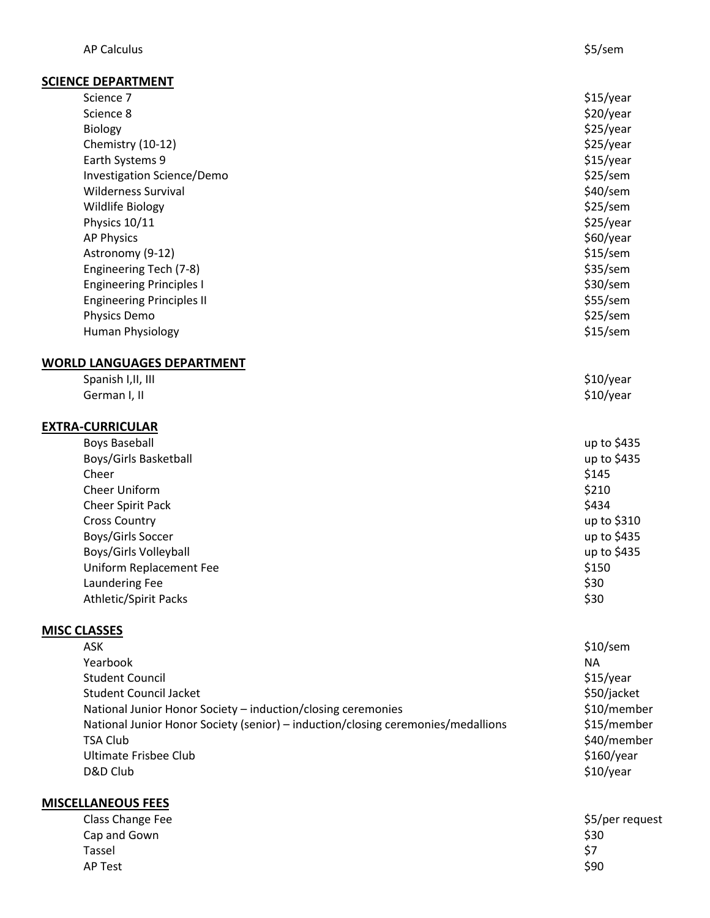| <b>AP Calculus</b>                                                               | \$5/sem     |
|----------------------------------------------------------------------------------|-------------|
| <b>SCIENCE DEPARTMENT</b>                                                        |             |
| Science 7                                                                        | \$15/year   |
| Science 8                                                                        | \$20/year   |
| Biology                                                                          | \$25/year   |
|                                                                                  | \$25/year   |
| Chemistry (10-12)                                                                | \$15/year   |
| Earth Systems 9                                                                  |             |
| Investigation Science/Demo                                                       | \$25/sem    |
| <b>Wilderness Survival</b>                                                       | \$40/sem    |
| Wildlife Biology                                                                 | \$25/sem    |
| Physics 10/11                                                                    | \$25/year   |
| <b>AP Physics</b>                                                                | \$60/year   |
| Astronomy (9-12)                                                                 | \$15/sem    |
| Engineering Tech (7-8)                                                           | \$35/sem    |
| <b>Engineering Principles I</b>                                                  | \$30/sem    |
| <b>Engineering Principles II</b>                                                 | \$55/sem    |
| Physics Demo                                                                     | \$25/sem    |
| Human Physiology                                                                 | \$15/sem    |
| <b>WORLD LANGUAGES DEPARTMENT</b>                                                |             |
| Spanish I, II, III                                                               | \$10/year   |
| German I, II                                                                     | \$10/year   |
|                                                                                  |             |
| <b>EXTRA-CURRICULAR</b>                                                          |             |
| <b>Boys Baseball</b>                                                             | up to \$435 |
| Boys/Girls Basketball                                                            | up to \$435 |
| Cheer                                                                            | \$145       |
| Cheer Uniform                                                                    | \$210       |
| Cheer Spirit Pack                                                                | \$434       |
| <b>Cross Country</b>                                                             | up to \$310 |
| Boys/Girls Soccer                                                                | up to \$435 |
| Boys/Girls Volleyball                                                            | up to \$435 |
| Uniform Replacement Fee                                                          | \$150       |
| <b>Laundering Fee</b>                                                            | \$30        |
| <b>Athletic/Spirit Packs</b>                                                     | \$30        |
| <b>MISC CLASSES</b>                                                              |             |
| <b>ASK</b>                                                                       | $$10$ /sem  |
| Yearbook                                                                         | <b>NA</b>   |
| <b>Student Council</b>                                                           | \$15/year   |
| <b>Student Council Jacket</b>                                                    | \$50/jacket |
| National Junior Honor Society - induction/closing ceremonies                     | \$10/member |
| National Junior Honor Society (senior) - induction/closing ceremonies/medallions | \$15/member |
| <b>TSA Club</b>                                                                  | \$40/member |
| <b>Ultimate Frisbee Club</b>                                                     | \$160/year  |
| D&D Club                                                                         | \$10/year   |
|                                                                                  |             |
|                                                                                  |             |

**MISCELLANEOUS FEES**

| Class Change Fee | \$5/per request |
|------------------|-----------------|
| Cap and Gown     | \$30            |
| Tassel           | \$7             |
| <b>AP Test</b>   | \$90            |